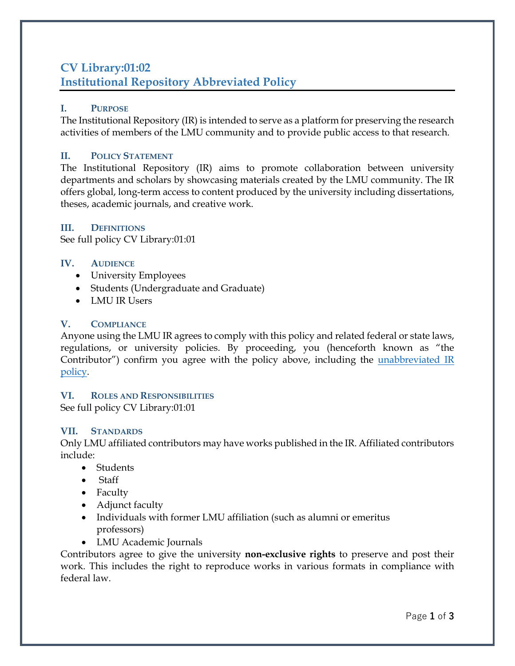# **CV Library:01:02 Institutional Repository Abbreviated Policy**

#### **I. PURPOSE**

The Institutional Repository (IR) is intended to serve as a platform for preserving the research activities of members of the LMU community and to provide public access to that research.

# **II. POLICY STATEMENT**

The Institutional Repository (IR) aims to promote collaboration between university departments and scholars by showcasing materials created by the LMU community. The IR offers global, long-term access to content produced by the university including dissertations, theses, academic journals, and creative work.

# **III. DEFINITIONS**

See full policy CV Library:01:01

# **IV. AUDIENCE**

- University Employees
- Students (Undergraduate and Graduate)
- LMU IR Users

# **V. COMPLIANCE**

Anyone using the LMU IR agrees to comply with this policy and related federal or state laws, regulations, or university policies. By proceeding, you (henceforth known as "the Contributor") confirm you agree with the policy above, including the unabbreviated IR [policy.](https://digitalcommons.lmunet.edu/lmu_policies.pdf)

#### **VI. ROLES AND RESPONSIBILITIES**

See full policy CV Library:01:01

#### **VII. STANDARDS**

Only LMU affiliated contributors may have works published in the IR. Affiliated contributors include:

- Students
- Staff
- Faculty
- Adjunct faculty
- Individuals with former LMU affiliation (such as alumni or emeritus professors)
- LMU Academic Journals

Contributors agree to give the university **non-exclusive rights** to preserve and post their work. This includes the right to reproduce works in various formats in compliance with federal law.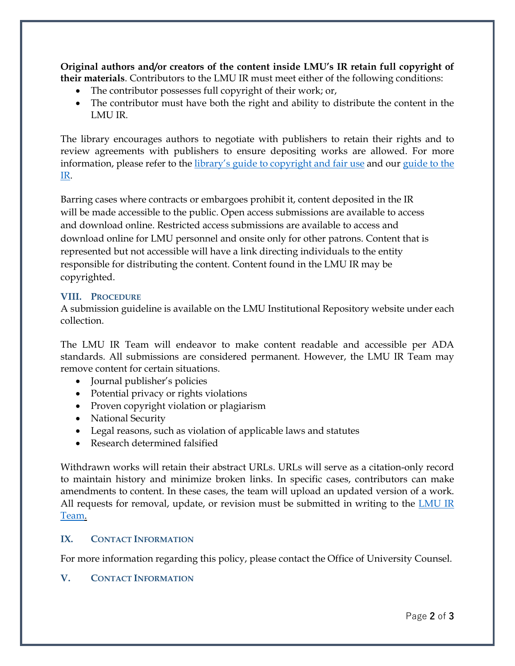**Original authors and/or creators of the content inside LMU's IR retain full copyright of their materials**. Contributors to the LMU IR must meet either of the following conditions:

- The contributor possesses full copyright of their work; or,
- The contributor must have both the right and ability to distribute the content in the LMU IR.

The library encourages authors to negotiate with publishers to retain their rights and to review agreements with publishers to ensure depositing works are allowed. For more information, please refer to the [library's guide to copyright and fair use](https://library.lmunet.edu/copyright) and our [guide to the](https://library.lmunet.edu/c.php?g=1033175&p=7489128)  [IR.](https://library.lmunet.edu/c.php?g=1033175&p=7489128)

Barring cases where contracts or embargoes prohibit it, content deposited in the IR will be made accessible to the public. Open access submissions are available to access and download online. Restricted access submissions are available to access and download online for LMU personnel and onsite only for other patrons. Content that is represented but not accessible will have a link directing individuals to the entity responsible for distributing the content. Content found in the LMU IR may be copyrighted.

#### **VIII. PROCEDURE**

A submission guideline is available on the LMU Institutional Repository website under each collection.

The LMU IR Team will endeavor to make content readable and accessible per ADA standards. All submissions are considered permanent. However, the LMU IR Team may remove content for certain situations.

- Journal publisher's policies
- Potential privacy or rights violations
- Proven copyright violation or plagiarism
- National Security
- Legal reasons, such as violation of applicable laws and statutes
- Research determined falsified

Withdrawn works will retain their abstract URLs. URLs will serve as a citation-only record to maintain history and minimize broken links. In specific cases, contributors can make amendments to content. In these cases, the team will upload an updated version of a work. All requests for removal, update, or revision must be submitted in writing to the LMU IR [Team.](mailto:LMUIR@lmunet.edu)

#### **IX. CONTACT INFORMATION**

For more information regarding this policy, please contact the Office of University Counsel.

#### **V. CONTACT INFORMATION**